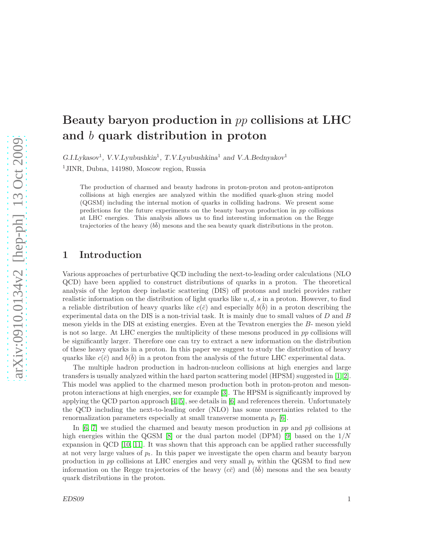# Beauty baryon production in pp collisions at LHC and b quark distribution in proton

 $G.I.Ly$ kasov<sup>1</sup>, V.V.Lyubushkin<sup>1</sup>, T.V.Lyubushkina<sup>1</sup> and V.A.Bednyakov<sup>1</sup>

<sup>1</sup>JINR, Dubna, 141980, Moscow region, Russia

The production of charmed and beauty hadrons in proton-proton and proton-antiproton collisions at high energies are analyzed within the modified quark-gluon string model (QGSM) including the internal motion of quarks in colliding hadrons. We present some predictions for the future experiments on the beauty baryon production in pp collisions at LHC energies. This analysis allows us to find interesting information on the Regge trajectories of the heavy  $(b\bar{b})$  mesons and the sea beauty quark distributions in the proton.

## 1 Introduction

Various approaches of perturbative QCD including the next-to-leading order calculations (NLO QCD) have been applied to construct distributions of quarks in a proton. The theoretical analysis of the lepton deep inelastic scattering (DIS) off protons and nuclei provides rather realistic information on the distribution of light quarks like  $u, d, s$  in a proton. However, to find a reliable distribution of heavy quarks like  $c(\bar{c})$  and especially  $b(\bar{b})$  in a proton describing the experimental data on the DIS is a non-trivial task. It is mainly due to small values of  $D$  and  $B$ meson yields in the DIS at existing energies. Even at the Tevatron energies the B- meson yield is not so large. At LHC energies the multiplicity of these mesons produced in  $pp$  collisions will be significantly larger. Therefore one can try to extract a new information on the distribution of these heavy quarks in a proton. In this paper we suggest to study the distribution of heavy quarks like  $c(\bar{c})$  and  $b(\bar{b})$  in a proton from the analysis of the future LHC experimental data.

The multiple hadron production in hadron-nucleon collisions at high energies and large transfers is usually analyzed within the hard parton scattering model (HPSM) suggested in [\[1,](#page-5-0) [2\]](#page-5-1). This model was applied to the charmed meson production both in proton-proton and mesonproton interactions at high energies, see for example [\[3\]](#page-5-2). The HPSM is significantly improved by applying the QCD parton approach [\[4,](#page-5-3) [5\]](#page-5-4), see details in [\[6\]](#page-5-5) and references therein. Unfortunately the QCD including the next-to-leading order (NLO) has some uncertainties related to the renormalization parameters especially at small transverse momenta  $p_t$  [\[6\]](#page-5-5).

In [\[6,](#page-5-5) [7\]](#page-5-6) we studied the charmed and beauty meson production in pp and  $p\bar{p}$  collisions at high energies within the QGSM  $[8]$  or the dual parton model (DPM)  $[9]$  based on the  $1/N$ expansion in QCD [\[10,](#page-6-1) [11\]](#page-6-2). It was shown that this approach can be applied rather successfully at not very large values of  $p_t$ . In this paper we investigate the open charm and beauty baryon production in pp collisions at LHC energies and very small  $p_t$  within the QGSM to find new information on the Regge trajectories of the heavy  $(c\bar{c})$  and  $(b\bar{b})$  mesons and the sea beauty quark distributions in the proton.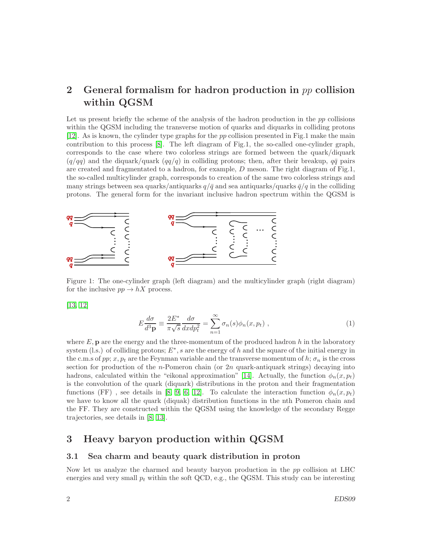# 2 General formalism for hadron production in pp collision within QGSM

Let us present briefly the scheme of the analysis of the hadron production in the  $pp$  collisions within the QGSM including the transverse motion of quarks and diquarks in colliding protons [\[12\]](#page-6-3). As is known, the cylinder type graphs for the pp collision presented in Fig.1 make the main contribution to this process [\[8\]](#page-5-7). The left diagram of Fig.1, the so-called one-cylinder graph, corresponds to the case where two colorless strings are formed between the quark/diquark  $(q/qq)$  and the diquark/quark  $(qq/q)$  in colliding protons; then, after their breakup,  $q\bar{q}$  pairs are created and fragmentated to a hadron, for example,  $D$  meson. The right diagram of Fig.1, the so-called multicylinder graph, corresponds to creation of the same two colorless strings and many strings between sea quarks/antiquarks  $q/\bar{q}$  and sea antiquarks/quarks  $\bar{q}/q$  in the colliding protons. The general form for the invariant inclusive hadron spectrum within the QGSM is



Figure 1: The one-cylinder graph (left diagram) and the multicylinder graph (right diagram) for the inclusive  $pp \to hX$  process.

[\[13,](#page-6-4) [12\]](#page-6-3)

$$
E\frac{d\sigma}{d^3\mathbf{p}} \equiv \frac{2E^*}{\pi\sqrt{s}}\frac{d\sigma}{dxdp_t^2} = \sum_{n=1}^{\infty} \sigma_n(s)\phi_n(x, p_t) ,
$$
 (1)

where  $E$ , **p** are the energy and the three-momentum of the produced hadron h in the laboratory system (l.s.) of colliding protons;  $E^*$ , s are the energy of h and the square of the initial energy in the c.m.s of pp;  $x, p_t$  are the Feynman variable and the transverse momentum of h;  $\sigma_n$  is the cross section for production of the n-Pomeron chain (or 2n quark-antiquark strings) decaying into hadrons, calculated within the "eikonal approximation" [\[14\]](#page-6-5). Actually, the function  $\phi_n(x, p_t)$ is the convolution of the quark (diquark) distributions in the proton and their fragmentation functions (FF), see details in [\[8,](#page-5-7) [9,](#page-6-0) [6,](#page-5-5) [12\]](#page-6-3). To calculate the interaction function  $\phi_n(x, p_t)$ we have to know all the quark (diquak) distribution functions in the nth Pomeron chain and the FF. They are constructed within the QGSM using the knowledge of the secondary Regge trajectories, see details in [\[8,](#page-5-7) [13\]](#page-6-4).

# 3 Heavy baryon production within QGSM

#### 3.1 Sea charm and beauty quark distribution in proton

Now let us analyze the charmed and beauty baryon production in the pp collision at LHC energies and very small  $p_t$  within the soft QCD, e.g., the QGSM. This study can be interesting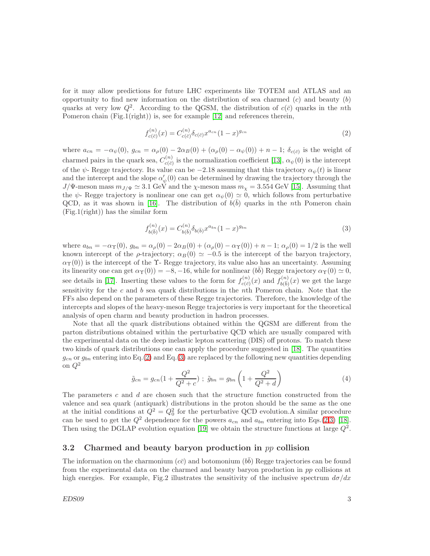for it may allow predictions for future LHC experiments like TOTEM and ATLAS and an opportunity to find new information on the distribution of sea charmed  $(c)$  and beauty  $(b)$ quarks at very low  $Q^2$ . According to the QGSM, the distribution of  $c(\bar{c})$  quarks in the nth Pomeron chain (Fig.1(right)) is, see for example [\[12\]](#page-6-3) and references therein,

<span id="page-2-0"></span>
$$
f_{c(\bar{c})}^{(n)}(x) = C_{c(\bar{c})}^{(n)} \delta_{c(\bar{c})} x^{a_{cn}} (1-x)^{g_{cn}} \tag{2}
$$

where  $a_{cn} = -\alpha_{\psi}(0)$ ,  $g_{cn} = \alpha_{\rho}(0) - 2\alpha_{B}(0) + (\alpha_{\rho}(0) - \alpha_{\psi}(0)) + n - 1$ ;  $\delta_{c(\bar{c})}$  is the weight of charmed pairs in the quark sea,  $C_{c(\vec{e})}^{(n)}$  $\alpha_{c(\bar{c})}^{(n)}$  is the normalization coefficient [\[13\]](#page-6-4),  $\alpha_{\psi}(0)$  is the intercept of the  $\psi$ - Regge trajectory. Its value can be −2.18 assuming that this trajectory  $\alpha_{\psi}(t)$  is linear and the intercept and the slope  $\alpha'_{i}$  $\psi_{\psi}'(0)$  can be determined by drawing the trajectory through the  $J/\Psi$ -meson mass  $m_{J/\Psi} \simeq 3.1$  GeV and the  $\chi$ -meson mass  $m_{\chi} = 3.554$  GeV [\[15\]](#page-6-6). Assuming that the  $\psi$ - Regge trajectory is nonlinear one can get  $\alpha_{\psi}(0) \simeq 0$ , which follows from perturbative QCD, as it was shown in [\[16\]](#page-6-7). The distribution of  $b(\bar{b})$  quarks in the nth Pomeron chain (Fig.1(right)) has the similar form

<span id="page-2-1"></span>
$$
f_{b(\bar{b})}^{(n)}(x) = C_{b(\bar{b})}^{(n)} \delta_{b(\bar{b})} x^{a_{bn}} (1-x)^{g_{bn}} \tag{3}
$$

where  $a_{bn} = -\alpha_{\Upsilon}(0)$ ,  $g_{bn} = \alpha_{\rho}(0) - 2\alpha_{B}(0) + (\alpha_{\rho}(0) - \alpha_{\Upsilon}(0)) + n - 1$ ;  $\alpha_{\rho}(0) = 1/2$  is the well known intercept of the  $\rho$ -trajectory;  $\alpha_B(0) \simeq -0.5$  is the intercept of the baryon trajectory,  $\alpha_{\Upsilon}(0)$ ) is the intercept of the  $\Upsilon$ - Regge trajectory, its value also has an uncertainty. Assuming its linearity one can get  $\alpha_{\Upsilon}(0) = -8, -16$ , while for nonlinear  $(b\bar{b})$  Regge trajectory  $\alpha_{\Upsilon}(0) \simeq 0$ , see details in [\[17\]](#page-6-8). Inserting these values to the form for  $f_{c(\vec{r})}^{(n)}$  $t_{c(\bar{c})}^{(n)}(x)$  and  $f_{b(\bar{b})}^{(n)}(x)$  we get the large sensitivity for the c and b sea quark distributions in the nth Pomeron chain. Note that the FFs also depend on the parameters of these Regge trajectories. Therefore, the knowledge of the intercepts and slopes of the heavy-meson Regge trajectories is very important for the theoretical analysis of open charm and beauty production in hadron processes.

Note that all the quark distributions obtained within the QGSM are different from the parton distributions obtained within the perturbative QCD which are usually compared with the experimental data on the deep inelastic lepton scattering (DIS) off protons. To match these two kinds of quark distributions one can apply the procedure suggested in [\[18\]](#page-6-9). The quantities  $g_{cn}$  or  $g_{bn}$  entering into Eq.[\(2\)](#page-2-0) and Eq.[\(3\)](#page-2-1) are replaced by the following new quantities depending on  $Q^2$ 

$$
\tilde{g}_{cn} = g_{cn}(1 + \frac{Q^2}{Q^2 + c}) ; \ \tilde{g}_{bn} = g_{bn}\left(1 + \frac{Q^2}{Q^2 + d}\right)
$$
 (4)

The parameters c and d are chosen such that the structure function constructed from the valence and sea quark (antiquark) distributions in the proton should be the same as the one at the initial conditions at  $Q^2 = Q_0^2$  for the perturbative QCD evolution. A similar procedure can be used to get the  $Q^2$  dependence for the powers  $a_{cn}$  and  $a_{bn}$  entering into Eqs.[\(2](#page-2-0)[,3\)](#page-2-1) [\[18\]](#page-6-9). Then using the DGLAP evolution equation [\[19\]](#page-6-10) we obtain the structure functions at large  $Q^2$ .

#### 3.2 Charmed and beauty baryon production in  $pp$  collision

The information on the charmonium  $(c\bar{c})$  and botomonium  $(b\bar{b})$  Regge trajectories can be found from the experimental data on the charmed and beauty baryon production in pp collisions at high energies. For example, Fig.2 illustrates the sensitivity of the inclusive spectrum  $d\sigma/dx$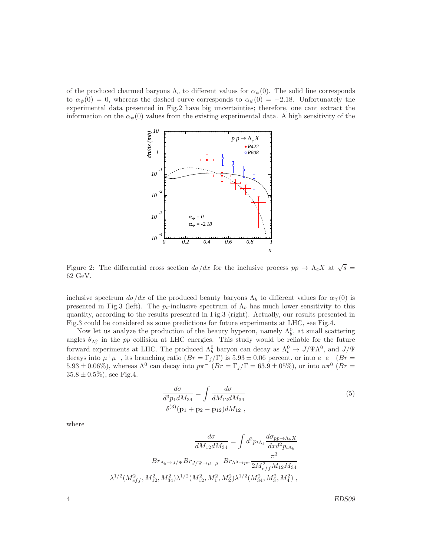of the produced charmed baryons  $\Lambda_c$  to different values for  $\alpha_{\psi}(0)$ . The solid line corresponds to  $\alpha_{\psi}(0) = 0$ , whereas the dashed curve corresponds to  $\alpha_{\psi}(0) = -2.18$ . Unfortunately the experimental data presented in Fig.2 have big uncertainties; therefore, one cant extract the information on the  $\alpha_{\psi}(0)$  values from the existing experimental data. A high sensitivity of the



Figure 2: The differential cross section  $d\sigma/dx$  for the inclusive process  $pp \to \Lambda_c X$  at  $\sqrt{s} =$ 62 GeV.

inclusive spectrum  $d\sigma/dx$  of the produced beauty baryons  $\Lambda_b$  to different values for  $\alpha_{\Upsilon}(0)$  is presented in Fig.3 (left). The  $p_t$ -inclusive spectrum of  $\Lambda_b$  has much lower sensitivity to this quantity, according to the results presented in Fig.3 (right). Actually, our results presented in Fig.3 could be considered as some predictions for future experiments at LHC, see Fig.4.

Now let us analyze the production of the beauty hyperon, namely  $\Lambda_b^0$ , at small scattering angles  $\theta_{\Lambda_b^0}$  in the pp collision at LHC energies. This study would be reliable for the future forward experiments at LHC. The produced  $\Lambda_b^0$  baryon can decay as  $\Lambda_b^0 \to J/\Psi \Lambda^0$ , and  $J/\Psi$ decays into  $\mu^+\mu^-$ , its branching ratio  $(Br = \Gamma_j/\Gamma)$  is  $5.93 \pm 0.06$  percent, or into  $e^+e^ (Br =$  $5.93 \pm 0.06\%,$  whereas  $\Lambda^0$  can decay into  $p\pi^{-1}(Br = \Gamma_j/\Gamma = 63.9 \pm 05\%),$  or into  $n\pi^0$  ( $Br = \Gamma_j/\Gamma = 63.9 \pm 0.05\%$ )  $35.8 \pm 0.5\%$ , see Fig.4.

$$
\frac{d\sigma}{d^3 p_1 dM_{34}} = \int \frac{d\sigma}{dM_{12} dM_{34}} \tag{5}
$$
\n
$$
\delta^{(3)}(\mathbf{p}_1 + \mathbf{p}_2 - \mathbf{p}_{12}) dM_{12} ,
$$

where

$$
\frac{d\sigma}{dM_{12}dM_{34}} = \int d^2p_{t\Lambda_b} \frac{d\sigma_{pp \to \Lambda_b X}}{dxd^2p_{t\Lambda_b}}
$$

$$
Br_{\Lambda_b \to J/\Psi} Br_{J/\Psi \to \mu^+ \mu_-} Br_{\Lambda^0 \to p\pi} \frac{\pi^3}{2M_{eff}^2M_{12}M_{34}}
$$

$$
\lambda^{1/2} (M_{eff}^2, M_{12}^2, M_{34}^2) \lambda^{1/2} (M_{12}^2, M_1^2, M_2^2) \lambda^{1/2} (M_{34}^2, M_3^2, M_4^2) ,
$$

4 EDS09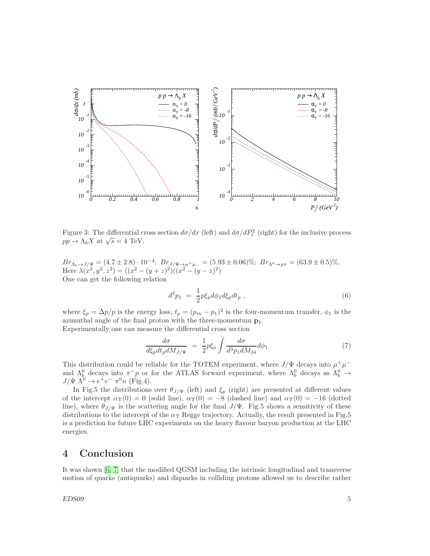

Figure 3: The differential cross section  $d\sigma/dx$  (left) and  $d\sigma/dP_t^2$  (right) for the inclusive process  $pp \to \Lambda_b X$  at  $\sqrt{s} = 4$  TeV.

 $Br_{\Lambda_b\to J/\Psi} = (4.7 \pm 2.8) \cdot 10^{-4}; Br_{J/\Psi\to\mu^+\mu^-} = (5.93 \pm 0.06)\%; Br_{\Lambda^0\to p\pi} = (63.9 \pm 0.5)\%$ Here  $\lambda(x^2, y^2, z^2) = ((x^2 - (y + z)^2)((x^2 - (y - z)^2))$ One can get the following relation

$$
d^3 p_1 = \frac{1}{2} p \xi_p d\phi_1 d\xi_p dt_p , \qquad (6)
$$

where  $\xi_p = \Delta p/p$  is the energy loss,  $t_p = (p_{in} - p_1)^2$  is the four-momentum transfer,  $\phi_1$  is the azimuthal angle of the final proton with the three-momentum  $p_1$ . Experimentally one can measure the differential cross section

$$
\frac{d\sigma}{d\xi_p dt_p dM_{J/\Psi}} = \frac{1}{2} p \xi_p \int \frac{d\sigma}{d^3 p_1 dM_{34}} d\phi_1 \tag{7}
$$

This distribution could be reliable for the TOTEM experiment, where  $J/\Psi$  decays into  $\mu^+\mu^$ and  $\Lambda_b^0$  decays into  $\pi^- p$  or for the ATLAS forward experiment, where  $\Lambda_b^0$  decays as  $\Lambda_b^0 \to \Lambda_b^ J/\Psi \ \Lambda^0 \rightarrow e^+e^- \ \pi^0 n \ \text{(Fig.4)}.$ 

In Fig.5 the distributions over  $\theta_{J/\Psi}$  (left) and  $\xi_p$  (right) are presented at different values of the intercept  $\alpha_Y(0) = 0$  (solid line),  $\alpha_Y(0) = -8$  (dashed line) and  $\alpha_Y(0) = -16$  (dotted line), where  $\theta_{J/\Psi}$  is the scattering angle for the final  $J/\Psi$ . Fig.5 shows a sensitivity of these distributions to the intercept of the  $\alpha_{\Upsilon}$  Regge trajectory. Actually, the result presented in Fig.5 is a prediction for future LHC experiments on the heavy flavour baryon production at the LHC energies.

# 4 Conclusion

It was shown [\[6,](#page-5-5) [7\]](#page-5-6) that the modified QGSM including the intrinsic longitudinal and transverse motion of quarks (antiquarks) and diquarks in colliding protons allowed us to describe rather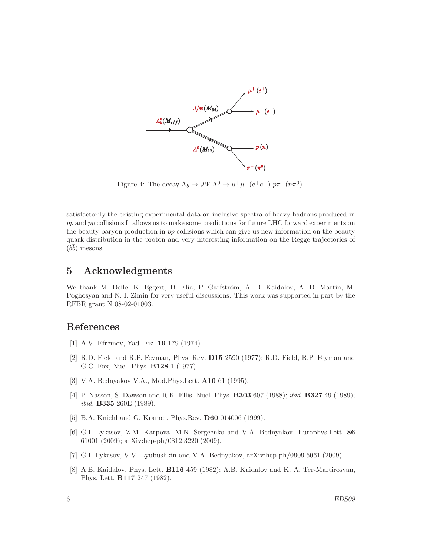

Figure 4: The decay  $\Lambda_b \to J\Psi \Lambda^0 \to \mu^+ \mu^- (e^+ e^-) \ p \pi^- (n \pi^0)$ .

satisfactorily the existing experimental data on inclusive spectra of heavy hadrons produced in  $pp$  and  $p\bar{p}$  collisions It allows us to make some predictions for future LHC forward experiments on the beauty baryon production in pp collisions which can give us new information on the beauty quark distribution in the proton and very interesting information on the Regge trajectories of  $(b\bar{b})$  mesons.

## 5 Acknowledgments

We thank M. Deile, K. Eggert, D. Elia, P. Garfström, A. B. Kaidalov, A. D. Martin, M. Poghosyan and N. I. Zimin for very useful discussions. This work was supported in part by the RFBR grant N 08-02-01003.

### <span id="page-5-0"></span>References

- <span id="page-5-1"></span>[1] A.V. Efremov, Yad. Fiz. 19 179 (1974).
- [2] R.D. Field and R.P. Feyman, Phys. Rev. D15 2590 (1977); R.D. Field, R.P. Feyman and G.C. Fox, Nucl. Phys. B128 1 (1977).
- <span id="page-5-3"></span><span id="page-5-2"></span>[3] V.A. Bednyakov V.A., Mod.Phys.Lett. A10 61 (1995).
- [4] P. Nasson, S. Dawson and R.K. Ellis, Nucl. Phys. **B303** 607 (1988); *ibid.* **B327** 49 (1989); ibid. B335 260E (1989).
- <span id="page-5-5"></span><span id="page-5-4"></span>[5] B.A. Kniehl and G. Kramer, Phys.Rev. **D60** 014006 (1999).
- [6] G.I. Lykasov, Z.M. Karpova, M.N. Sergeenko and V.A. Bednyakov, Europhys.Lett. 86 61001 (2009); arXiv:hep-ph/0812.3220 (2009).
- <span id="page-5-7"></span><span id="page-5-6"></span>[7] G.I. Lykasov, V.V. Lyubushkin and V.A. Bednyakov, arXiv:hep-ph/0909.5061 (2009).
- [8] A.B. Kaidalov, Phys. Lett. B116 459 (1982); A.B. Kaidalov and K. A. Ter-Martirosyan, Phys. Lett. B117 247 (1982).